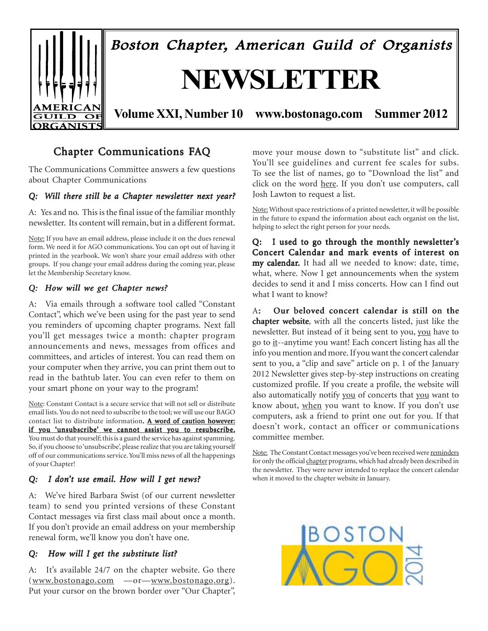

## Chapter Communications FAQ

The Communications Committee answers a few questions about Chapter Communications

#### *Q: Will there still be a Chapter newsletter next year?*

A: Yes and no. This is the final issue of the familiar monthly newsletter. Its content will remain, but in a different format.

Note: If you have an email address, please include it on the dues renewal form. We need it for AGO communications. You can opt out of having it printed in the yearbook. We won't share your email address with other groups. If you change your email address during the coming year, please let the Membership Secretary know.

#### *Q: How will we get Chapter news? How will we get Chapter*

A: Via emails through a software tool called "Constant Contact", which we've been using for the past year to send you reminders of upcoming chapter programs. Next fall you'll get messages twice a month: chapter program announcements and news, messages from offices and committees, and articles of interest. You can read them on your computer when they arrive, you can print them out to read in the bathtub later. You can even refer to them on your smart phone on your way to the program!

Note: Constant Contact is a secure service that will not sell or distribute email lists. You do not need to subscribe to the tool; we will use our BAGO contact list to distribute information. A word of caution however: if you 'unsubscribe' we cannot assist you to resubscribe. You must do that yourself; this is a guard the service has against spamming. So, if you choose to 'unsubscribe', please realize that you are taking yourself off of our communications service. You'll miss news of all the happenings of your Chapter!

#### *Q: I don't use email. How will I get news?*

A: We've hired Barbara Swist (of our current newsletter team) to send you printed versions of these Constant Contact messages via first class mail about once a month. If you don't provide an email address on your membership renewal form, we'll know you don't have one.

#### *Q:* How will I get the substitute list?

A: It's available 24/7 on the chapter website. Go there (www.bostonago.com —or—www.bostonago.org). Put your cursor on the brown border over "Our Chapter",

move your mouse down to "substitute list" and click. You'll see guidelines and current fee scales for subs. To see the list of names, go to "Download the list" and click on the word here. If you don't use computers, call Josh Lawton to request a list.

Note: Without space restrictions of a printed newsletter, it will be possible in the future to expand the information about each organist on the list, helping to select the right person for your needs.

Q: I used to go through the monthly newsletter's Concert Calendar and mark events of interest on my calendar. It had all we needed to know: date, time, what, where. Now I get announcements when the system decides to send it and I miss concerts. How can I find out what I want to know?

A: Our beloved concert calendar is still on the chapter website, with all the concerts listed, just like the newsletter. But instead of it being sent to you, you have to go to it--anytime you want! Each concert listing has all the info you mention and more. If you want the concert calendar sent to you, a "clip and save" article on p. 1 of the January 2012 Newsletter gives step-by-step instructions on creating customized profile. If you create a profile, the website will also automatically notify you of concerts that you want to know about, when you want to know. If you don't use computers, ask a friend to print one out for you. If that doesn't work, contact an officer or communications committee member.

Note: The Constant Contact messages you've been received were reminders for only the official chapter programs, which had already been described in the newsletter. They were never intended to replace the concert calendar when it moved to the chapter website in January.

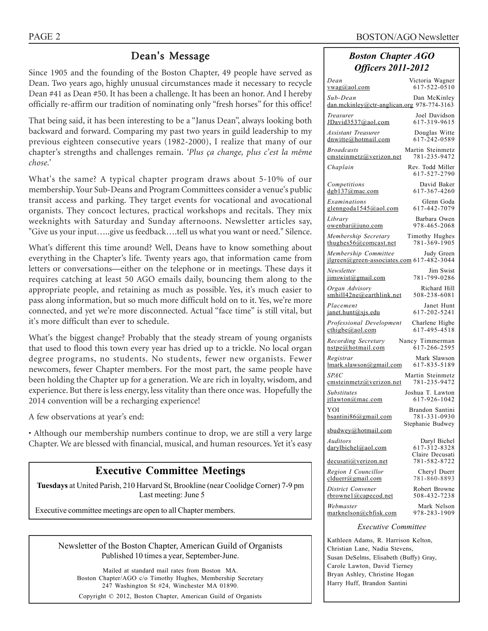## Dean's Message

Since 1905 and the founding of the Boston Chapter, 49 people have served as Dean. Two years ago, highly unusual circumstances made it necessary to recycle Dean #41 as Dean #50. It has been a challenge. It has been an honor. And I hereby officially re-affirm our tradition of nominating only "fresh horses" for this office!

That being said, it has been interesting to be a "Janus Dean", always looking both backward and forward. Comparing my past two years in guild leadership to my previous eighteen consecutive years (1982-2000), I realize that many of our chapter's strengths and challenges remain. *'Plus ça change, plus c'est la même chose.'*

What's the same? A typical chapter program draws about 5-10% of our membership. Your Sub-Deans and Program Committees consider a venue's public transit access and parking. They target events for vocational and avocational organists. They concoct lectures, practical workshops and recitals. They mix weeknights with Saturday and Sunday afternoons. Newsletter articles say, "Give us your input…..give us feedback….tell us what you want or need." Silence.

What's different this time around? Well, Deans have to know something about everything in the Chapter's life. Twenty years ago, that information came from letters or conversations—either on the telephone or in meetings. These days it requires catching at least 50 AGO emails daily, bouncing them along to the appropriate people, and retaining as much as possible. Yes, it's much easier to pass along information, but so much more difficult hold on to it. Yes, we're more connected, and yet we're more disconnected. Actual "face time" is still vital, but it's more difficult than ever to schedule.

What's the biggest change? Probably that the steady stream of young organists that used to flood this town every year has dried up to a trickle. No local organ degree programs, no students. No students, fewer new organists. Fewer newcomers, fewer Chapter members. For the most part, the same people have been holding the Chapter up for a generation. We are rich in loyalty, wisdom, and experience. But there is less energy, less vitality than there once was. Hopefully the 2014 convention will be a recharging experience!

A few observations at year's end:

• Although our membership numbers continue to drop, we are still a very large Chapter. We are blessed with financial, musical, and human resources. Yet it's easy

### **Executive Committee Meetings**

**Tuesdays** at United Parish, 210 Harvard St, Brookline (near Coolidge Corner) 7-9 pm Last meeting: June 5

Executive committee meetings are open to all Chapter members.

| Newsletter of the Boston Chapter, American Guild of Organists |
|---------------------------------------------------------------|
| Published 10 times a year, September-June.                    |

Mailed at standard mail rates from Boston MA. Boston Chapter/AGO c/o Timothy Hughes, Membership Secretary 247 Washington St #24, Winchester MA 01890.

Copyright © 2012, Boston Chapter, American Guild of Organists

#### *Boston Chapter AGO Officers 2011-2012*

| Dean                                                                         | Victoria Wagner                                     |
|------------------------------------------------------------------------------|-----------------------------------------------------|
| <u>vwag@aol.com</u>                                                          | 617-522-0510                                        |
| Sub-Dean<br>dan.mckinley@ctr-anglican.org 978-774-3163                       | Dan McKinley                                        |
| Treasurer                                                                    | Joel Davidson                                       |
| JDavid3537@aol.com                                                           | 617-319-9615                                        |
| <b>Assistant Treasurer</b>                                                   | Douglas Witte                                       |
| dnwitte@hotmail.com                                                          | 617-242-0589                                        |
| <b>Broadcasts</b>                                                            | Martin Steinmetz                                    |
| cmsteinmetz@verizon.net                                                      | 781-235-9472                                        |
| Chaplain                                                                     | Rev. Todd Miller<br>617-527-2790                    |
| Competitions                                                                 | David Baker                                         |
| dgb137@mac.com                                                               | 617-367-4260                                        |
| Examinations                                                                 | Glenn Goda                                          |
| glenngoda1545@aol.com                                                        | 617-442-7079                                        |
| Library                                                                      | Barbara Owen                                        |
| $\alpha$ wenbar@juno.com                                                     | 978-465-2068                                        |
| Membership Secretary                                                         | Timothy Hughes                                      |
| thughes $56@$ comcast.net                                                    | 781-369-1905                                        |
| Membership Committee Judy Green<br>jlgreen@green-associates.com 617-482-3044 |                                                     |
| Newsletter                                                                   | Jim Swist                                           |
| jimswist@gmail.com                                                           | 781-799-0286                                        |
| Organ Advisory                                                               | Richard Hill                                        |
| smhill42ne@earthlink.net                                                     | 508-238-6081                                        |
| Placement                                                                    | Janet Hunt                                          |
| $j$ anet.hunt@sjs.edu                                                        | 617-202-5241                                        |
| Professional Development                                                     | Charlene Higbe                                      |
| $\text{cthigbe}(a)$ aol.com                                                  | 617-495-4518                                        |
| Recording Secretary                                                          | Nancy Timmerman                                     |
| nstpe@hotmail.com                                                            | 617-266-2595                                        |
| Registrar                                                                    | Mark Slawson                                        |
| lmark.slawson@gmail.com                                                      | 617-835-5189                                        |
| <i>SPAC</i>                                                                  | Martin Steinmetz                                    |
| cmsteinmetz@verizon.net                                                      | 781-235-9472                                        |
| Substitutes<br>itlawton@mac.com                                              | Joshua T. Lawton<br>617-926-1042                    |
| YOI<br>$bsantini86$ @gmail.com                                               | Brandon Santini<br>781-331-0930<br>Stephanie Budwey |
| sbudwey@hotmail.com                                                          |                                                     |
| Auditors<br>darylbichel@aol.com                                              | Daryl Bichel<br>617-312-8328<br>Claire Decusati     |
| <u>decusati@verizon.net</u>                                                  | 781-582-8722                                        |
| Region I Councillor                                                          | Cheryl Duerr                                        |
| clduerr@gmail.com                                                            | 781-860-8893                                        |
| District Convener                                                            | Robert Browne                                       |
| rbrownel@capecod.net                                                         | 508-432-7238                                        |
| Webmaster                                                                    | Mark Nelson                                         |
| marknelson@cbfisk.com                                                        | 978-283-1909                                        |

#### *Executive Committee*

Kathleen Adams, R. Harrison Kelton, Christian Lane, Nadia Stevens, Susan DeSelms, Elisabeth (Buffy) Gray, Carole Lawton, David Tierney Bryan Ashley, Christine Hogan Harry Huff, Brandon Santini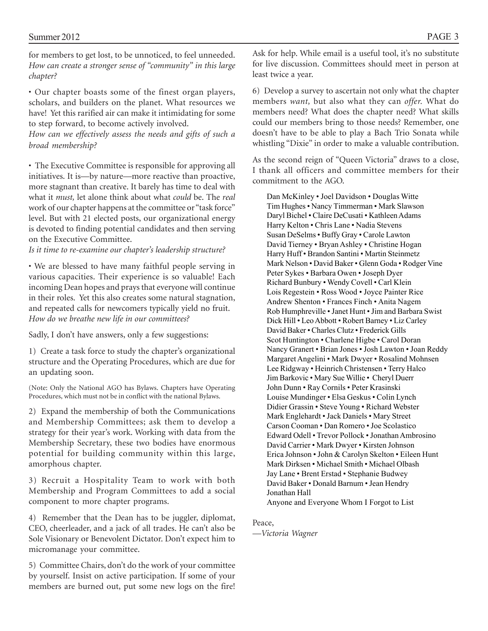for members to get lost, to be unnoticed, to feel unneeded. *How can create a stronger sense of "community" in this large chapter?*

• Our chapter boasts some of the finest organ players, scholars, and builders on the planet. What resources we have! Yet this rarified air can make it intimidating for some to step forward, to become actively involved.

*How can we effectively assess the needs and gifts of such a broad membership?*

• The Executive Committee is responsible for approving all initiatives. It is—by nature—more reactive than proactive, more stagnant than creative. It barely has time to deal with what it *must,* let alone think about what *could* be. The *real* work of our chapter happens at the committee or "task force" level. But with 21 elected posts, our organizational energy is devoted to finding potential candidates and then serving on the Executive Committee.

*Is it time to re-examine our chapter's leadership structure?*

• We are blessed to have many faithful people serving in various capacities. Their experience is so valuable! Each incoming Dean hopes and prays that everyone will continue in their roles. Yet this also creates some natural stagnation, and repeated calls for newcomers typically yield no fruit. *How do we breathe new life in our committees?*

Sadly, I don't have answers, only a few suggestions:

1) Create a task force to study the chapter's organizational structure and the Operating Procedures, which are due for an updating soon.

(Note: Only the National AGO has Bylaws. Chapters have Operating Procedures, which must not be in conflict with the national Bylaws.

2) Expand the membership of both the Communications and Membership Committees; ask them to develop a strategy for their year's work. Working with data from the Membership Secretary, these two bodies have enormous potential for building community within this large, amorphous chapter.

3) Recruit a Hospitality Team to work with both Membership and Program Committees to add a social component to more chapter programs.

4) Remember that the Dean has to be juggler, diplomat, CEO, cheerleader, and a jack of all trades. He can't also be Sole Visionary or Benevolent Dictator. Don't expect him to micromanage your committee.

5) Committee Chairs, don't do the work of your committee by yourself. Insist on active participation. If some of your members are burned out, put some new logs on the fire!

Ask for help. While email is a useful tool, it's no substitute for live discussion. Committees should meet in person at least twice a year.

6) Develop a survey to ascertain not only what the chapter members *want,* but also what they can *offer.* What do members need? What does the chapter need? What skills could our members bring to those needs? Remember, one doesn't have to be able to play a Bach Trio Sonata while whistling "Dixie" in order to make a valuable contribution.

As the second reign of "Queen Victoria" draws to a close, I thank all officers and committee members for their commitment to the AGO.

Dan McKinley • Joel Davidson • Douglas Witte Tim Hughes • Nancy Timmerman • Mark Slawson Daryl Bichel • Claire DeCusati • Kathleen Adams Harry Kelton • Chris Lane • Nadia Stevens Susan DeSelms • Buffy Gray • Carole Lawton David Tierney • Bryan Ashley • Christine Hogan Harry Huff • Brandon Santini • Martin Steinmetz Mark Nelson • David Baker • Glenn Goda • Rodger Vine Peter Sykes • Barbara Owen • Joseph Dyer Richard Bunbury • Wendy Covell • Carl Klein Lois Regestein • Ross Wood • Joyce Painter Rice Andrew Shenton • Frances Finch • Anita Nagem Rob Humphreville • Janet Hunt • Jim and Barbara Swist Dick Hill • Leo Abbott • Robert Barney • Liz Carley David Baker • Charles Clutz • Frederick Gills Scot Huntington • Charlene Higbe • Carol Doran Nancy Granert • Brian Jones • Josh Lawton • Joan Reddy Margaret Angelini • Mark Dwyer • Rosalind Mohnsen Lee Ridgway • Heinrich Christensen • Terry Halco Jim Barkovic • Mary Sue Willie • Cheryl Duerr John Dunn • Ray Cornils • Peter Krasinski Louise Mundinger • Elsa Geskus • Colin Lynch Didier Grassin • Steve Young • Richard Webster Mark Englehardt • Jack Daniels • Mary Street Carson Cooman • Dan Romero • Joe Scolastico Edward Odell • Trevor Pollock • Jonathan Ambrosino David Carrier • Mark Dwyer • Kirsten Johnson Erica Johnson • John & Carolyn Skelton • Eileen Hunt Mark Dirksen • Michael Smith • Michael Olbash Jay Lane • Brent Erstad • Stephanie Budwey David Baker • Donald Barnum • Jean Hendry Jonathan Hall Anyone and Everyone Whom I Forgot to List

Peace,

*—Victoria Wagner*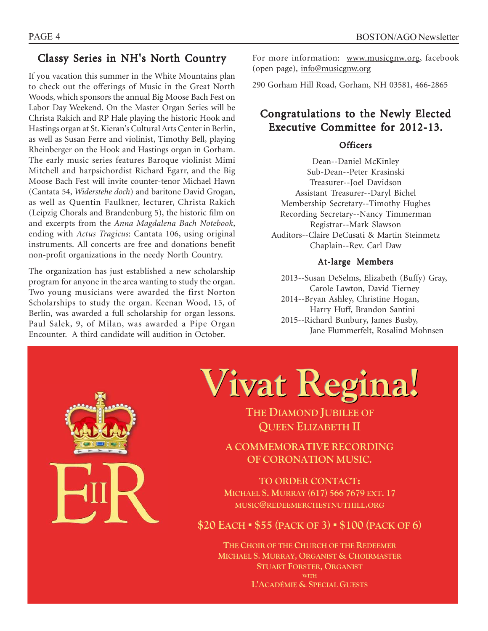## Classy Series in NH's North Country

If you vacation this summer in the White Mountains plan to check out the offerings of Music in the Great North Woods, which sponsors the annual Big Moose Bach Fest on Labor Day Weekend. On the Master Organ Series will be Christa Rakich and RP Hale playing the historic Hook and Hastings organ at St. Kieran's Cultural Arts Center in Berlin, as well as Susan Ferre and violinist, Timothy Bell, playing Rheinberger on the Hook and Hastings organ in Gorham. The early music series features Baroque violinist Mimi Mitchell and harpsichordist Richard Egarr, and the Big Moose Bach Fest will invite counter-tenor Michael Hawn (Cantata 54, *Widerstehe doch*) and baritone David Grogan, as well as Quentin Faulkner, lecturer, Christa Rakich (Leipzig Chorals and Brandenburg 5), the historic film on and excerpts from the *Anna Magdalena Bach Notebook*, ending with *Actus Tragicus*: Cantata 106, using original instruments. All concerts are free and donations benefit non-profit organizations in the needy North Country.

The organization has just established a new scholarship program for anyone in the area wanting to study the organ. Two young musicians were awarded the first Norton Scholarships to study the organ. Keenan Wood, 15, of Berlin, was awarded a full scholarship for organ lessons. Paul Salek, 9, of Milan, was awarded a Pipe Organ Encounter. A third candidate will audition in October.

For more information: www.musicgnw.org, facebook (open page), info@musicgnw.org

290 Gorham Hill Road, Gorham, NH 03581, 466-2865

## Congratulations to the Newly Elected Executive Committee for 2012-13.

#### Officers

Dean--Daniel McKinley Sub-Dean--Peter Krasinski Treasurer--Joel Davidson Assistant Treasurer--Daryl Bichel Membership Secretary--Timothy Hughes Recording Secretary--Nancy Timmerman Registrar--Mark Slawson Auditors--Claire DeCusati & Martin Steinmetz Chaplain--Rev. Carl Daw

#### At-large Members

2013--Susan DeSelms, Elizabeth (Buffy) Gray, Carole Lawton, David Tierney 2014--Bryan Ashley, Christine Hogan, Harry Huff, Brandon Santini 2015--Richard Bunbury, James Busby, Jane Flummerfelt, Rosalind Mohnsen



**Vivat Regina!**

**THE DIAMOND JUBILEE OF QUEEN ELIZABETH II**

**A COMMEMORATIVE RECORDING OF CORONATION MUSIC.** 

**TO ORDER CONTACT: MICHAEL S. MURRAY (617) 566 7679 EXT. 17 MUSIC@REDEEMERCHESTNUTHILL.ORG** 

**\$20 EACH ඵ \$55 (PACK OF 3) ඵ \$100 (PACK OF 6)** 

**THE CHOIR OF THE CHURCH OF THE REDEEMER MICHAEL S. MURRAY, ORGANIST & CHOIRMASTER STUART FORSTER, ORGANIST WITH /¶\$CADÉMIE & SPECIAL GUESTS**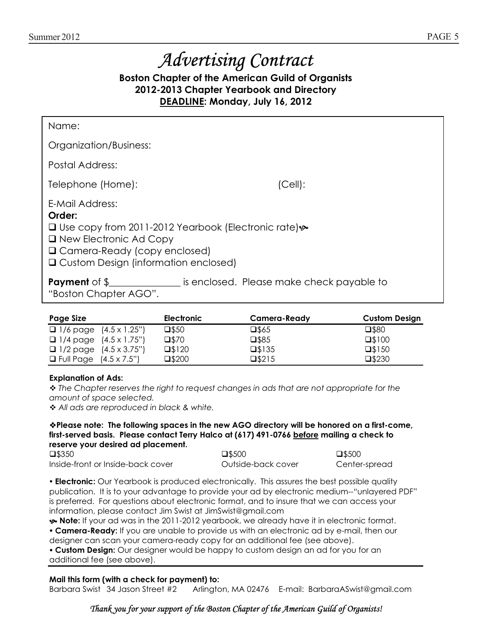# Advertising Contract

**Boston Chapter of the American Guild of Organists 2012-2013 Chapter Yearbook and Directory DEADLINE: Monday, July 16, 2012** 

| Name:                                                                                                                                                                                                        |                                           |  |  |  |
|--------------------------------------------------------------------------------------------------------------------------------------------------------------------------------------------------------------|-------------------------------------------|--|--|--|
| Organization/Business:                                                                                                                                                                                       |                                           |  |  |  |
| Postal Address:                                                                                                                                                                                              |                                           |  |  |  |
| Telephone (Home):                                                                                                                                                                                            | (Cell):                                   |  |  |  |
| E-Mail Address:<br>Order:<br>□ Use copy from 2011-2012 Yearbook (Electronic rate) $\rightarrow$<br>$\Box$ New Electronic Ad Copy<br>□ Camera-Ready (copy enclosed)<br>□ Custom Design (information enclosed) |                                           |  |  |  |
| <b>Payment</b> of \$<br>"Boston Chapter AGO".                                                                                                                                                                | is enclosed. Please make check payable to |  |  |  |

| <b>Page Size</b>                                   | <b>Electronic</b> | Camera-Ready    | <b>Custom Design</b> |
|----------------------------------------------------|-------------------|-----------------|----------------------|
| $\Box$ 1/6 page $(4.5 \times 1.25^{\prime\prime})$ | $\square$ \$50    | $\square$ \$65  | $\square$ \$80       |
| $\Box$ 1/4 page $(4.5 \times 1.75^{\circ})$        | $\square$ \$70    | $\square$ \$85  | $\square$ \$100      |
| $\Box$ 1/2 page $(4.5 \times 3.75^{\circ})$        | $\square$ \$120   | $\square$ \$135 | $\square$ \$150      |
| <b>D</b> Full Page $(4.5 \times 7.5")$             | $\square$ \$200   | $\square$ \$215 | $\square$ \$230      |

#### **Explanation of Ads:**

 *The Chapter reserves the right to request changes in ads that are not appropriate for the amount of space selected.* 

 *All ads are reproduced in black & white.* 

#### **Please note: The following spaces in the new AGO directory will be honored on a first-come, first-served basis. Please contact Terry Halco at (617) 491-0766 before mailing a check to reserve your desired ad placement.**

| $\square$ \$350                   | $\square$ \$500    | $\square$ \$500 |
|-----------------------------------|--------------------|-----------------|
| Inside-front or Inside-back cover | Outside-back cover | Center-spread   |

**• Electronic:** Our Yearbook is produced electronically. This assures the best possible quality publication. It is to your advantage to provide your ad by electronic medium--"unlayered PDF" is preferred. For questions about electronic format, and to insure that we can access your information, please contact Jim Swist at JimSwist@gmail.com

^ **Note:** If your ad was in the 2011-2012 yearbook, we already have it in electronic format.

y **Camera-Ready:** If you are unable to provide us with an electronic ad by e-mail, then our designer can scan your camera-ready copy for an additional fee (see above).

**• Custom Design:** Our designer would be happy to custom design an ad for you for an additional fee (see above).

#### **Mail this form (with a check for payment) to:**

Barbara Swist 34 Jason Street #2 Arlington, MA 02476 E-mail: BarbaraASwist@gmail.com

### Thank you for your support of the Boston Chapter of the American Guild of Organists!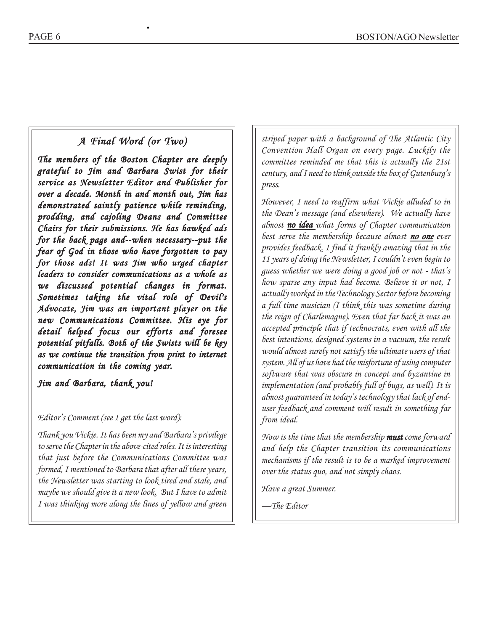## *A Final Word (or Two) A Final (or*

•

*The members of the Boston Chapter are deeply The of the Chapter are grateful to Jim and Barbara Swist for their to Barbara Swist their service as Newsletter Editor and Publisher for over a decade. Month in and month out, Jim has over a decade. Month in and demonstrated saintly patience while reminding, prodding, and cajoling Deans and Committee prodding, and cajoling and Committee Chairs for their submissions. He has hawked ads for the back page and--when necessary--put the back page necessary--put the fear of God in those who have forgotten to pay in who have pay for those ads! It was Jim who urged chapter those who urged chapter leaders to consider communications as a whole as to consider communications as as we discussed potential changes in format. we potential in format. Sometimes taking the vital role of Devil's Sometimes taking the vital Advocate, Jim was an important player on the important player new Communications Committee. His eye for detail helped focus our efforts and foresee focus our and potential pitfalls. Both of the Swists will be key Both Swists will be as we continue the transition from print to internet we continue the transition print communication in the coming year. coming year.*

*Jim and Barbara, thank you!*

#### *Editor's Comment (see I get the last word):*

*Thank you Vickie. It has been my and Barbara's privilege to serve the Chapter in the above-cited roles. It is interesting that just before the Communications Committee was formed, I mentioned to Barbara that after all these years, the Newsletter was starting to look tired and stale, and maybe we should give it a new look. But I have to admit I was thinking more along the lines of yellow and green*

*striped paper with a background of The Atlantic City Convention Hall Organ on every page. Luckily the committee reminded me that this is actually the 21st century, and I need to think outside the box of Gutenburg's press.*

*However, I need to reaffirm what Vickie alluded to in the Dean's message (and elsewhere). We actually have almost no idea idea what forms of Chapter communication best serve the membership because almost no one ever provides feedback. I find it frankly amazing that in the 11 years of doing the Newsletter, I couldn't even begin to guess whether we were doing a good job or not - that's how sparse any input had become. Believe it or not, I actually worked in the Technology Sector before becoming a full-time musician (I think this was sometime during the reign of Charlemagne). Even that far back it was an accepted principle that if technocrats, even with all the best intentions, designed systems in a vacuum, the result would almost surely not satisfy the ultimate users of that system. All of us have had the misfortune of using computer software that was obscure in concept and byzantine in implementation (and probably full of bugs, as well). It is almost guaranteed in today's technology that lack of enduser feedback and comment will result in something far from ideal.*

*Now is the time that the membership must come forward must and help the Chapter transition its communications mechanisms if the result is to be a marked improvement over the status quo, and not simply chaos.*

*Have a great Summer.*

*—The Editor*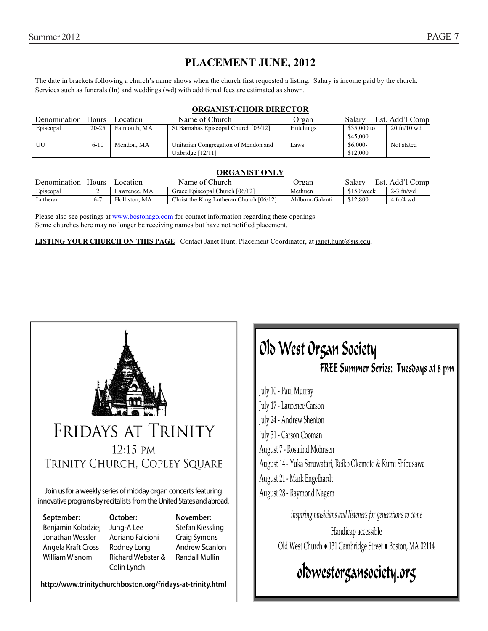## **PLACEMENT JUNE, 2012**

The date in brackets following a church's name shows when the church first requested a listing. Salary is income paid by the church. Services such as funerals (fn) and weddings (wd) with additional fees are estimated as shown.

#### **ORGANIST/CHOIR DIRECTOR**

| Denomination | Hours     | ocation.     | Name of Church                       | Organ     | Salary      | Est. Add'l Comp                 |
|--------------|-----------|--------------|--------------------------------------|-----------|-------------|---------------------------------|
| Episcopal    | $20 - 25$ | Falmouth, MA | St Barnabas Episcopal Church [03/12] | Hutchings | \$35,000 to | $20 \text{ ft} / 10 \text{ wd}$ |
|              |           |              |                                      |           | \$45,000    |                                 |
| UU           | $6 - 10$  | Mendon. MA   | Unitarian Congregation of Mendon and | Laws      | $$6,000-$   | Not stated                      |
|              |           |              | Uxbridge $[12/11]$                   |           | \$12,000    |                                 |

#### **ORGANIST ONLY**

| Denomination | Hours | ocation       | ∴hurch<br>Name of U                     | Jrgan           | Salarv<br>Est. | . Add' <sup>1</sup><br>∠omp |
|--------------|-------|---------------|-----------------------------------------|-----------------|----------------|-----------------------------|
| Episcopal    |       | Lawrence. MA  | Grace Episcopal Church [06/12]          | Methuen         | \$150/week     | $2-3$ fn/wd                 |
| Lutheran     | ה-    | Holliston, MA | Christ the King Lutheran Church [06/12] | Ahlborn-Galanti | \$12,800       | $4$ fn/4 wd                 |

Please also see postings at www.bostonago.com for contact information regarding these openings. Some churches here may no longer be receiving names but have not notified placement.

**LISTING YOUR CHURCH ON THIS PAGE** Contact Janet Hunt, Placement Coordinator, at janet.hunt@sjs.edu.



Join us for a weekly series of midday organ concerts featuring innovative programs by recitalists from the United States and abroad.

September:

Benjamin Kolodziej Jonathan Wessler Angela Kraft Cross William Wisnom

October: Jung-A Lee Adriano Falcioni **Rodney Long** Richard Webster & Colin Lynch

November: Stefan Kiessling Craig Symons **Andrew Scanlon Randall Mullin** 

http://www.trinitychurchboston.org/fridays-at-trinity.html

## Old West Organ Society FREE Summer Series: Tuesdays at 8 pm

July 10 - Paul Murray luly 17 - Laurence Carson July 24 - Andrew Shenton July 31 - Carson Cooman August 7 - Kosalınd Mohnsen August 14 - Yuka Saruwatari, Reiko Okamoto & Kumi Shibusawa August 21 - Mark Engelhardt August 28 - Kaymond Nagem

 $\alpha$  inspiring musicians and listeners for generations to come

Handicap accessible Old West Church • 131 Cambridge Street • Boston, MA 02114

## oldwestorgansociety.org